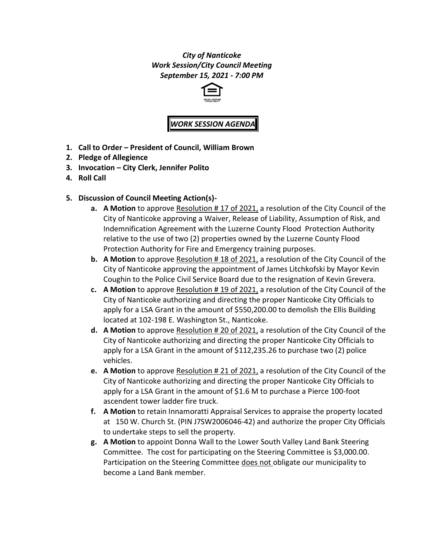## *City of Nanticoke Work Session/City Council Meeting September 15, 2021 - 7:00 PM*



# *WORK SESSION AGENDA*

- **1. Call to Order – President of Council, William Brown**
- **2. Pledge of Allegience**
- **3. Invocation – City Clerk, Jennifer Polito**
- **4. Roll Call**
- **5. Discussion of Council Meeting Action(s)**
	- **a. A Motion** to approve Resolution # 17 of 2021, a resolution of the City Council of the City of Nanticoke approving a Waiver, Release of Liability, Assumption of Risk, and Indemnification Agreement with the Luzerne County Flood Protection Authority relative to the use of two (2) properties owned by the Luzerne County Flood Protection Authority for Fire and Emergency training purposes.
	- **b. A Motion** to approve Resolution # 18 of 2021, a resolution of the City Council of the City of Nanticoke approving the appointment of James Litchkofski by Mayor Kevin Coughin to the Police Civil Service Board due to the resignation of Kevin Grevera.
	- **c. A Motion** to approve Resolution # 19 of 2021, a resolution of the City Council of the City of Nanticoke authorizing and directing the proper Nanticoke City Officials to apply for a LSA Grant in the amount of \$550,200.00 to demolish the Ellis Building located at 102-198 E. Washington St., Nanticoke.
	- **d. A Motion** to approve Resolution # 20 of 2021, a resolution of the City Council of the City of Nanticoke authorizing and directing the proper Nanticoke City Officials to apply for a LSA Grant in the amount of \$112,235.26 to purchase two (2) police vehicles.
	- **e. A Motion** to approve Resolution # 21 of 2021, a resolution of the City Council of the City of Nanticoke authorizing and directing the proper Nanticoke City Officials to apply for a LSA Grant in the amount of \$1.6 M to purchase a Pierce 100-foot ascendent tower ladder fire truck.
	- **f. A Motion** to retain Innamoratti Appraisal Services to appraise the property located at 150 W. Church St. (PIN J7SW2006046-42) and authorize the proper City Officials to undertake steps to sell the property.
	- **g. A Motion** to appoint Donna Wall to the Lower South Valley Land Bank Steering Committee. The cost for participating on the Steering Committee is \$3,000.00. Participation on the Steering Committee does not obligate our municipality to become a Land Bank member.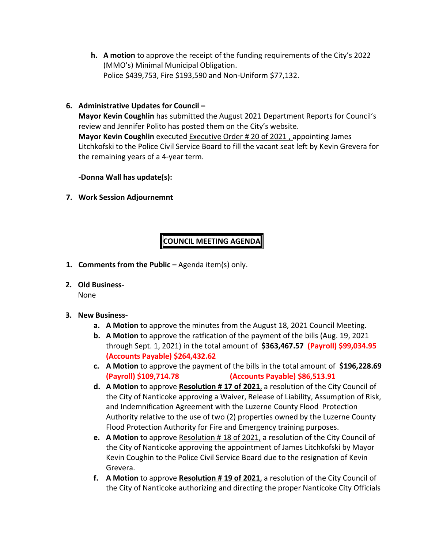**h. A motion** to approve the receipt of the funding requirements of the City's 2022 (MMO's) Minimal Municipal Obligation. Police \$439,753, Fire \$193,590 and Non-Uniform \$77,132.

### **6. Administrative Updates for Council –**

**Mayor Kevin Coughlin** has submitted the August 2021 Department Reports for Council's review and Jennifer Polito has posted them on the City's website. **Mayor Kevin Coughlin** executed Executive Order # 20 of 2021 , appointing James Litchkofski to the Police Civil Service Board to fill the vacant seat left by Kevin Grevera for the remaining years of a 4-year term.

**-Donna Wall has update(s):**

**7. Work Session Adjournemnt**

# **COUNCIL MEETING AGENDA**

- **1. Comments from the Public –** Agenda item(s) only.
- **2. Old Business-**

None

- **3. New Business**
	- **a. A Motion** to approve the minutes from the August 18, 2021 Council Meeting.
	- **b. A Motion** to approve the ratfication of the payment of the bills (Aug. 19, 2021 through Sept. 1, 2021) in the total amount of **\$363,467.57 (Payroll) \$99,034.95 (Accounts Payable) \$264,432.62**
	- **c. A Motion** to approve the payment of the bills in the total amount of **\$196,228.69 (Payroll) \$109,714.78 (Accounts Payable) \$86,513.91**
	- **d. A Motion** to approve **Resolution # 17 of 2021**, a resolution of the City Council of the City of Nanticoke approving a Waiver, Release of Liability, Assumption of Risk, and Indemnification Agreement with the Luzerne County Flood Protection Authority relative to the use of two (2) properties owned by the Luzerne County Flood Protection Authority for Fire and Emergency training purposes.
	- **e. A Motion** to approve Resolution # 18 of 2021, a resolution of the City Council of the City of Nanticoke approving the appointment of James Litchkofski by Mayor Kevin Coughin to the Police Civil Service Board due to the resignation of Kevin Grevera.
	- **f. A Motion** to approve **Resolution # 19 of 2021**, a resolution of the City Council of the City of Nanticoke authorizing and directing the proper Nanticoke City Officials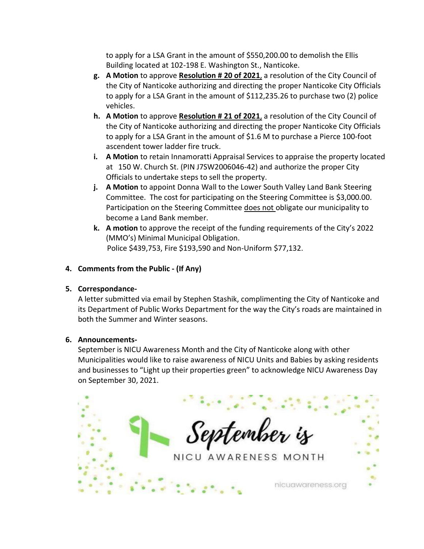to apply for a LSA Grant in the amount of \$550,200.00 to demolish the Ellis Building located at 102-198 E. Washington St., Nanticoke.

- **g. A Motion** to approve **Resolution # 20 of 2021**, a resolution of the City Council of the City of Nanticoke authorizing and directing the proper Nanticoke City Officials to apply for a LSA Grant in the amount of \$112,235.26 to purchase two (2) police vehicles.
- **h. A Motion** to approve **Resolution # 21 of 2021**, a resolution of the City Council of the City of Nanticoke authorizing and directing the proper Nanticoke City Officials to apply for a LSA Grant in the amount of \$1.6 M to purchase a Pierce 100-foot ascendent tower ladder fire truck.
- **i. A Motion** to retain Innamoratti Appraisal Services to appraise the property located at 150 W. Church St. (PIN J7SW2006046-42) and authorize the proper City Officials to undertake steps to sell the property.
- **j. A Motion** to appoint Donna Wall to the Lower South Valley Land Bank Steering Committee. The cost for participating on the Steering Committee is \$3,000.00. Participation on the Steering Committee does not obligate our municipality to become a Land Bank member.
- **k. A motion** to approve the receipt of the funding requirements of the City's 2022 (MMO's) Minimal Municipal Obligation. Police \$439,753, Fire \$193,590 and Non-Uniform \$77,132.

### **4. Comments from the Public - (If Any)**

#### **5. Correspondance-**

A letter submitted via email by Stephen Stashik, complimenting the City of Nanticoke and its Department of Public Works Department for the way the City's roads are maintained in both the Summer and Winter seasons.

#### **6. Announcements-**

September is NICU Awareness Month and the City of Nanticoke along with other Municipalities would like to raise awareness of NICU Units and Babies by asking residents and businesses to "Light up their properties green" to acknowledge NICU Awareness Day on September 30, 2021.